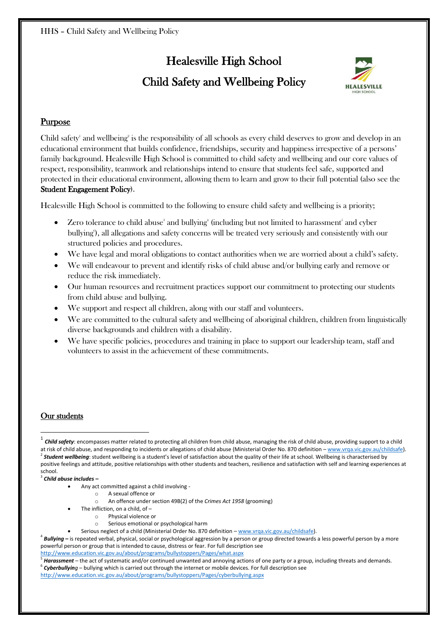# Healesville High School Child Safety and Wellbeing Policy



# Purpose

Child safety' and wellbeing<sup>2</sup> is the responsibility of all schools as every child deserves to grow and develop in an educational environment that builds confidence, friendships, security and happiness irrespective of a persons' family background. Healesville High School is committed to child safety and wellbeing and our core values of respect, responsibility, teamwork and relationships intend to ensure that students feel safe, supported and protected in their educational environment, allowing them to learn and grow to their full potential (also see the Student Engagement Policy).

Healesville High School is committed to the following to ensure child safety and wellbeing is a priority;

- Zero tolerance to child abuse<sup>3</sup> and bullying<sup>4</sup> (including but not limited to harassment<sup>3</sup> and cyber bullying'), all allegations and safety concerns will be treated very seriously and consistently with our structured policies and procedures.
- We have legal and moral obligations to contact authorities when we are worried about a child's safety.
- x We will endeavour to prevent and identify risks of child abuse and/or bullying early and remove or reduce the risk immediately.
- Our human resources and recruitment practices support our commitment to protecting our students from child abuse and bullying.
- We support and respect all children, along with our staff and volunteers.
- x We are committed to the cultural safety and wellbeing of aboriginal children, children from linguistically diverse backgrounds and children with a disability.
- We have specific policies, procedures and training in place to support our leadership team, staff and volunteers to assist in the achievement of these commitments.

## Our students

<sup>3</sup> *Child abuse includes –*

- o A sexual offence or
- o An offence under section 49B(2) of the *Crimes Act 1958* (grooming)
- The infliction, on a child, of  $$ 
	- o Physical violence or
	- o Serious emotional or psychological harm
- Serious neglect of a child (Ministerial Order No. 870 definition [www.vrqa.vic.gov.au/childsafe\)](http://www.vrqa.vic.gov.au/childsafe).

<sup>4</sup> *Bullying* **–** is repeated verbal, physical, social or psychological aggression by a person or group directed towards a less powerful person by a more powerful person or group that is intended to cause, distress or fear. For full description see

#### <http://www.education.vic.gov.au/about/programs/bullystoppers/Pages/what.aspx>

<sup>5</sup> Harassment – the act of systematic and/or continued unwanted and annoying actions of one party or a group, including threats and demands.<br><sup>6</sup> Cyberbullying – bullying which is carried out through the internet or mobile <http://www.education.vic.gov.au/about/programs/bullystoppers/Pages/cyberbullying.aspx>

<sup>&</sup>lt;sup>1</sup> Child safety: encompasses matter related to protecting all children from child abuse, managing the risk of child abuse, providing support to a child at risk of child abuse, and responding to incidents or allegations of child abuse (Ministerial Order No. 870 definition – [www.vrqa.vic.gov.au/childsafe\)](http://www.vrqa.vic.gov.au/childsafe). <sup>2</sup> Student wellbeing: student wellbeing is a student's level of satisfaction about the quality of their life at school. Wellbeing is characterised by positive feelings and attitude, positive relationships with other students and teachers, resilience and satisfaction with self and learning experiences at school.

Any act committed against a child involving -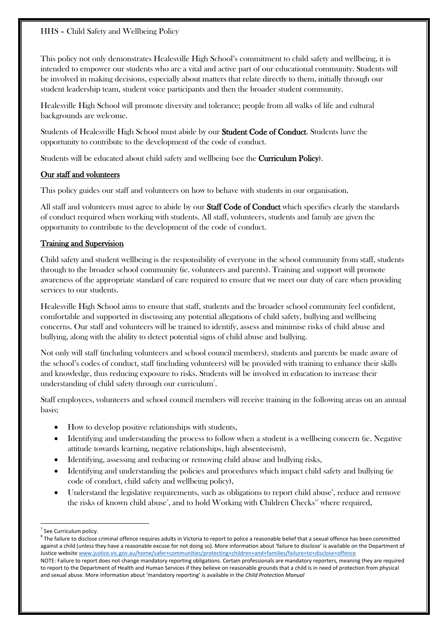This policy not only demonstrates Healesville High School's commitment to child safety and wellbeing, it is intended to empower our students who are a vital and active part of our educational community. Students will be involved in making decisions, especially about matters that relate directly to them, initially through our student leadership team, student voice participants and then the broader student community.

Healesville High School will promote diversity and tolerance; people from all walks of life and cultural backgrounds are welcome.

Students of Healesville High School must abide by our Student Code of Conduct. Students have the opportunity to contribute to the development of the code of conduct.

Students will be educated about child safety and wellbeing (see the Curriculum Policy).

## Our staff and volunteers

This policy guides our staff and volunteers on how to behave with students in our organisation.

All staff and volunteers must agree to abide by our **Staff Code of Conduct** which specifies clearly the standards of conduct required when working with students. All staff, volunteers, students and family are given the opportunity to contribute to the development of the code of conduct.

## Training and Supervision

Child safety and student wellbeing is the responsibility of everyone in the school community from staff, students through to the broader school community (ie. volunteers and parents). Training and support will promote awareness of the appropriate standard of care required to ensure that we meet our duty of care when providing services to our students.

Healesville High School aims to ensure that staff, students and the broader school community feel confident, comfortable and supported in discussing any potential allegations of child safety, bullying and wellbeing concerns. Our staff and volunteers will be trained to identify, assess and minimise risks of child abuse and bullying, along with the ability to detect potential signs of child abuse and bullying.

Not only will staff (including volunteers and school council members), students and parents be made aware of the school's codes of conduct, staff (including volunteers) will be provided with training to enhance their skills and knowledge, thus reducing exposure to risks. Students will be involved in education to increase their understanding of child safety through our curriculum<sup>7</sup>.

Staff employees, volunteers and school council members will receive training in the following areas on an annual basis;

- How to develop positive relationships with students,
- Identifying and understanding the process to follow when a student is a wellbeing concern (ie. Negative attitude towards learning, negative relationships, high absenteeism),
- Identifying, assessing and reducing or removing child abuse and bullying risks,
- Identifying and understanding the policies and procedures which impact child safety and bullying (ie code of conduct, child safety and wellbeing policy),
- Understand the legislative requirements, such as obligations to report child abuse<sup>8</sup>, reduce and remove the risks of known child abuse $^{\circ}$ , and to hold Working with Children Checks $^{\text{\tiny{10}}}$  where required,

See Curriculum policy.

 $8$  The failure to disclose criminal offence requires adults in Victoria to report to police a reasonable belief that a sexual offence has been committed against a child (unless they have a reasonable excuse for not doing so). More information about 'failure to disclose' is available on the Department of Justice website [www.justice.vic.gov.au/home/safer+communities/protecting+children+and+families/failure+to+disclose+offence](http://www.justice.vic.gov.au/home/safer+communities/protecting+children+and+families/failure+to+disclose+offence)

NOTE: Failure to report does not change mandatory reporting obligations. Certain professionals are mandatory reporters, meaning they are required to report to the Department of Health and Human Services if they believe on reasonable grounds that a child is in need of protection from physical and sexual abuse. More information about 'mandatory reporting' is available in the *Child Protection Manual*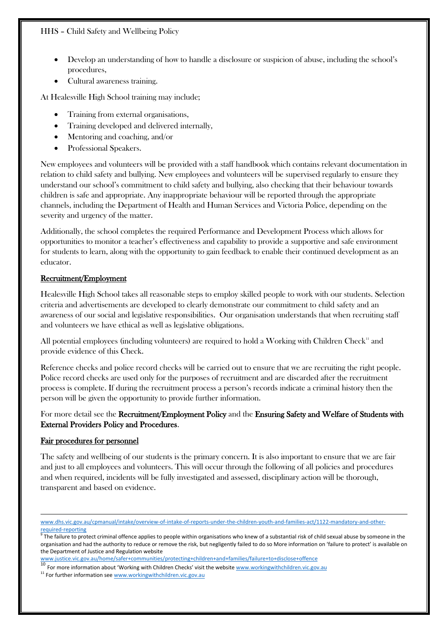- Develop an understanding of how to handle a disclosure or suspicion of abuse, including the school's procedures,
- Cultural awareness training.

At Healesville High School training may include;

- x Training from external organisations,
- Training developed and delivered internally,
- Mentoring and coaching, and/or
- Professional Speakers.

New employees and volunteers will be provided with a staff handbook which contains relevant documentation in relation to child safety and bullying. New employees and volunteers will be supervised regularly to ensure they understand our school's commitment to child safety and bullying, also checking that their behaviour towards children is safe and appropriate. Any inappropriate behaviour will be reported through the appropriate channels, including the Department of Health and Human Services and Victoria Police, depending on the severity and urgency of the matter.

Additionally, the school completes the required Performance and Development Process which allows for opportunities to monitor a teacher's effectiveness and capability to provide a supportive and safe environment for students to learn, along with the opportunity to gain feedback to enable their continued development as an educator.

#### Recruitment/Employment

Healesville High School takes all reasonable steps to employ skilled people to work with our students. Selection criteria and advertisements are developed to clearly demonstrate our commitment to child safety and an awareness of our social and legislative responsibilities. Our organisation understands that when recruiting staff and volunteers we have ethical as well as legislative obligations.

All potential employees (including volunteers) are required to hold a Working with Children Check<sup>11</sup> and provide evidence of this Check.

Reference checks and police record checks will be carried out to ensure that we are recruiting the right people. Police record checks are used only for the purposes of recruitment and are discarded after the recruitment process is complete. If during the recruitment process a person's records indicate a criminal history then the person will be given the opportunity to provide further information.

For more detail see the Recruitment/Employment Policy and the Ensuring Safety and Welfare of Students with External Providers Policy and Procedures.

#### Fair procedures for personnel

The safety and wellbeing of our students is the primary concern. It is also important to ensure that we are fair and just to all employees and volunteers. This will occur through the following of all policies and procedures and when required, incidents will be fully investigated and assessed, disciplinary action will be thorough, transparent and based on evidence.

```
www.justice.vic.gov.au/home/safer+communities/protecting+children+and+families/failure+to+disclose+offencewww.workingwithchildren.vic.gov.au
```
www.dhs.vic.gov.au/cpmanual/intake/overview-of-intake-of-reports-under-the-children-youth-and-families-act/1122-mandatory-and-other-<br>required-reporting<br>a

The failure to protect criminal offence applies to people within organisations who knew of a substantial risk of child sexual abuse by someone in the organisation and had the authority to reduce or remove the risk, but negligently failed to do so More information on 'failure to protect' is available on the Department of Justice and Regulation website

<sup>&</sup>lt;sup>11</sup> For further information se[e www.workingwithchildren.vic.gov.au](http://www.workingwithchildren.vic.gov.au/)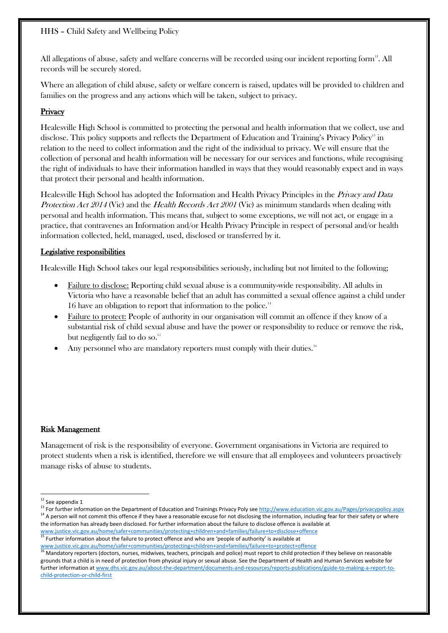HHS – Child Safety and Wellbeing Policy

All allegations of abuse, safety and welfare concerns will be recorded using our incident reporting form<sup>12</sup>. All records will be securely stored.

Where an allegation of child abuse, safety or welfare concern is raised, updates will be provided to children and families on the progress and any actions which will be taken, subject to privacy.

## **Privacy**

Healesville High School is committed to protecting the personal and health information that we collect, use and disclose. This policy supports and reflects the Department of Education and Training's Privacy Policy<sup>13</sup> in relation to the need to collect information and the right of the individual to privacy. We will ensure that the collection of personal and health information will be necessary for our services and functions, while recognising the right of individuals to have their information handled in ways that they would reasonably expect and in ways that protect their personal and health information.

Healesville High School has adopted the Information and Health Privacy Principles in the Privacy and Data Protection Act 2014 (Vic) and the Health Records Act 2001 (Vic) as minimum standards when dealing with personal and health information. This means that, subject to some exceptions, we will not act, or engage in a practice, that contravenes an Information and/or Health Privacy Principle in respect of personal and/or health information collected, held, managed, used, disclosed or transferred by it.

## Legislative responsibilities

Healesville High School takes our legal responsibilities seriously, including but not limited to the following;

- x Failure to disclose: Reporting child sexual abuse is a community-wide responsibility. All adults in Victoria who have a reasonable belief that an adult has committed a sexual offence against a child under 16 have an obligation to report that information to the police.<sup>14</sup>
- Failure to protect: People of authority in our organisation will commit an offence if they know of a substantial risk of child sexual abuse and have the power or responsibility to reduce or remove the risk, but negligently fail to do so.<sup>15</sup>
- Any personnel who are mandatory reporters must comply with their duties.<sup>16</sup>

#### Risk Management

Management of risk is the responsibility of everyone. Government organisations in Victoria are required to protect students when a risk is identified, therefore we will ensure that all employees and volunteers proactively manage risks of abuse to students.

[www.justice.vic.gov.au/home/safer+communities/protecting+children+and+families/failure+to+protect+offence](http://www.justice.vic.gov.au/home/safer+communities/protecting+children+and+families/failure+to+protect+offence)

<sup>'</sup> Mandatory reporters (doctors, nurses, midwives, teachers, principals and police) must report to child protection if they believe on reasonable grounds that a child is in need of protection from physical injury or sexual abuse. See the Department of Health and Human Services website for further information a[t www.dhs.vic.gov.au/about-the-department/documents-and-resources/reports-publications/guide-to-making-a-report-to](http://www.dhs.vic.gov.au/about-the-department/documents-and-resources/reports-publications/guide-to-making-a-report-to-child-protection-or-child-first)[child-protection-or-child-first](http://www.dhs.vic.gov.au/about-the-department/documents-and-resources/reports-publications/guide-to-making-a-report-to-child-protection-or-child-first)

<sup>&</sup>lt;sup>12</sup> See appendix 1<br><sup>13</sup> For further information on the Department of Education and Trainings Privacy Poly se[e http://www.education.vic.gov.au/Pages/privacypolicy.aspx](http://www.education.vic.gov.au/Pages/privacypolicy.aspx)<br><sup>14</sup> A person will not commit this offence if they hav the information has already been disclosed. For further information about the failure to disclose offence is available at

[www.justice.vic.gov.au/home/safer+communities/protecting+children+and+families/failure+to+disclose+offence](http://www.justice.vic.gov.au/home/safer+communities/protecting+children+and+families/failure+to+disclose+offence) <sup>15</sup> Further information about the failure to protect offence and who are 'people of authority' is available at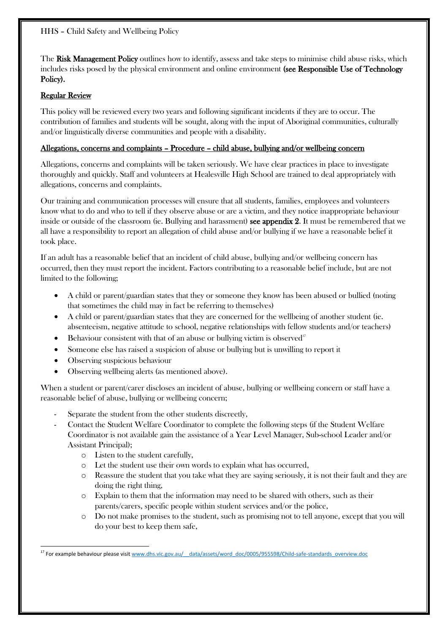The Risk Management Policy outlines how to identify, assess and take steps to minimise child abuse risks, which includes risks posed by the physical environment and online environment (see Responsible Use of Technology Policy).

## Regular Review

This policy will be reviewed every two years and following significant incidents if they are to occur. The contribution of families and students will be sought, along with the input of Aboriginal communities, culturally and/or linguistically diverse communities and people with a disability.

## Allegations, concerns and complaints – Procedure – child abuse, bullying and/or wellbeing concern

Allegations, concerns and complaints will be taken seriously. We have clear practices in place to investigate thoroughly and quickly. Staff and volunteers at Healesville High School are trained to deal appropriately with allegations, concerns and complaints.

Our training and communication processes will ensure that all students, families, employees and volunteers know what to do and who to tell if they observe abuse or are a victim, and they notice inappropriate behaviour inside or outside of the classroom (ie. Bullying and harassment) see appendix 2. It must be remembered that we all have a responsibility to report an allegation of child abuse and/or bullying if we have a reasonable belief it took place.

If an adult has a reasonable belief that an incident of child abuse, bullying and/or wellbeing concern has occurred, then they must report the incident. Factors contributing to a reasonable belief include, but are not limited to the following;

- x A child or parent/guardian states that they or someone they know has been abused or bullied (noting that sometimes the child may in fact be referring to themselves)
- A child or parent/guardian states that they are concerned for the wellbeing of another student (ie. absenteeism, negative attitude to school, negative relationships with fellow students and/or teachers)
- Behaviour consistent with that of an abuse or bullying victim is observed<sup>17</sup>
- Someone else has raised a suspicion of abuse or bullying but is unwilling to report it
- $\bullet$  Observing suspicious behaviour
- Observing wellbeing alerts (as mentioned above).

When a student or parent/carer discloses an incident of abuse, bullying or wellbeing concern or staff have a reasonable belief of abuse, bullying or wellbeing concern;

- Separate the student from the other students discreetly,
- Contact the Student Welfare Coordinator to complete the following steps (if the Student Welfare Coordinator is not available gain the assistance of a Year Level Manager, Sub-school Leader and/or Assistant Principal);
	- o Listen to the student carefully,
	- o Let the student use their own words to explain what has occurred,
	- o Reassure the student that you take what they are saying seriously, it is not their fault and they are doing the right thing,
	- o Explain to them that the information may need to be shared with others, such as their parents/carers, specific people within student services and/or the police,
	- o Do not make promises to the student, such as promising not to tell anyone, except that you will do your best to keep them safe,

<sup>&</sup>lt;sup>17</sup> For example behaviour please visit www.dhs.vic.gov.au/ data/assets/word\_doc/0005/955598/Child-safe-standards\_overview.doc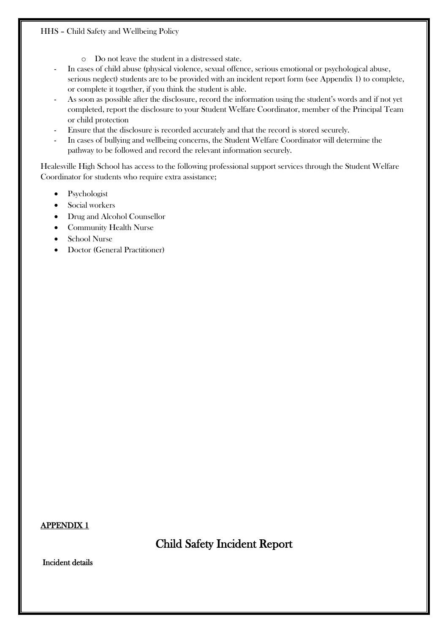#### HHS – Child Safety and Wellbeing Policy

- o Do not leave the student in a distressed state.
- In cases of child abuse (physical violence, sexual offence, serious emotional or psychological abuse, serious neglect) students are to be provided with an incident report form (see Appendix 1) to complete, or complete it together, if you think the student is able.
- As soon as possible after the disclosure, record the information using the student's words and if not yet completed, report the disclosure to your Student Welfare Coordinator, member of the Principal Team or child protection
- Ensure that the disclosure is recorded accurately and that the record is stored securely.
- In cases of bullying and wellbeing concerns, the Student Welfare Coordinator will determine the pathway to be followed and record the relevant information securely.

Healesville High School has access to the following professional support services through the Student Welfare Coordinator for students who require extra assistance;

- $\bullet$  Psychologist
- $\bullet$  Social workers
- Drug and Alcohol Counsellor
- Community Health Nurse
- x School Nurse
- Doctor (General Practitioner)

APPENDIX 1

Child Safety Incident Report

Incident details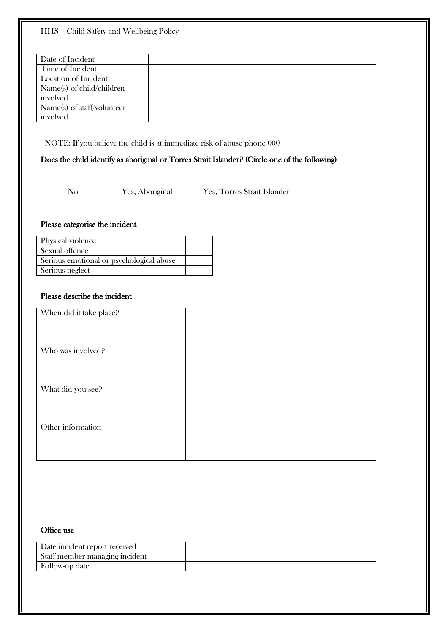| Date of Incident           |  |
|----------------------------|--|
| Time of Incident           |  |
| Location of Incident       |  |
| Name(s) of child/children  |  |
| involved                   |  |
| Name(s) of staff/volunteer |  |
| involved                   |  |

NOTE: If you believe the child is at immediate risk of abuse phone 000

## Does the child identify as aboriginal or Torres Strait Islander? (Circle one of the following)

No Yes, Aboriginal Yes, Torres Strait Islander

#### Please categorise the incident

| Physical violence                        |  |
|------------------------------------------|--|
| Sexual offence                           |  |
| Serious emotional or psychological abuse |  |
| Serious neglect                          |  |

## Please describe the incident

| When did it take place? |  |
|-------------------------|--|
|                         |  |
|                         |  |
|                         |  |
|                         |  |
| Who was involved?       |  |
|                         |  |
|                         |  |
|                         |  |
|                         |  |
| What did you see?       |  |
|                         |  |
|                         |  |
|                         |  |
| Other information       |  |
|                         |  |
|                         |  |
|                         |  |
|                         |  |

#### Office use

| Date incident report received  |  |
|--------------------------------|--|
| Staff member managing incident |  |
| Follow-up date                 |  |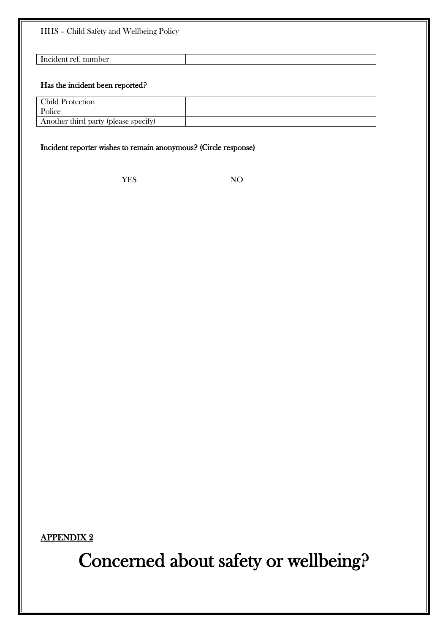HHS – Child Safety and Wellbeing Policy

Incident ref. number

#### Has the incident been reported?

| <b>Child Protection</b>              |  |
|--------------------------------------|--|
| Police                               |  |
| Another third party (please specify) |  |

## Incident reporter wishes to remain anonymous? (Circle response)

YES NO

APPENDIX 2

Concerned about safety or wellbeing?